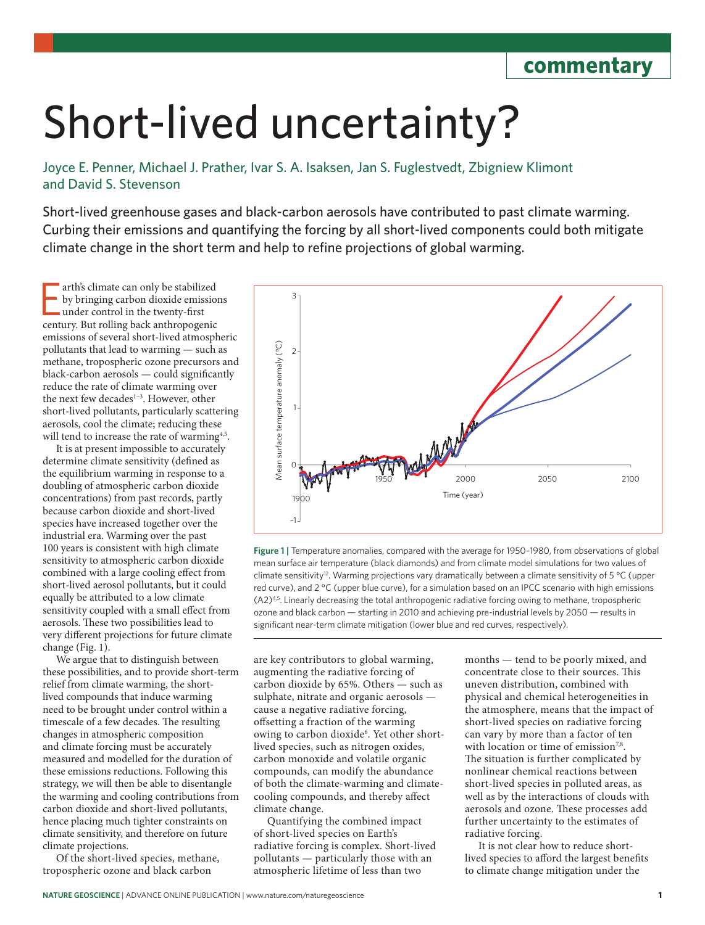**commentary**

## Short-lived uncertainty?

Joyce E. Penner, Michael J. Prather, Ivar S. A. Isaksen, Jan S. Fuglestvedt, Zbigniew Klimont and David S. Stevenson

Short-lived greenhouse gases and black-carbon aerosols have contributed to past climate warming. Curbing their emissions and quantifying the forcing by all short-lived components could both mitigate climate change in the short term and help to refine projections of global warming.

arth's climate can only be stabilized<br>by bringing carbon dioxide emission<br>under control in the twenty-first<br>century. But rolling back anthropogenic arth's climate can only be stabilized by bringing carbon dioxide emissions under control in the twenty-first emissions of several short-lived atmospheric pollutants that lead to warming — such as methane, tropospheric ozone precursors and black-carbon aerosols — could significantly reduce the rate of climate warming over the next few decades<sup>1-3</sup>. However, other short-lived pollutants, particularly scattering aerosols, cool the climate; reducing these will tend to increase the rate of warming<sup>4,5</sup>.

It is at present impossible to accurately determine climate sensitivity (defined as the equilibrium warming in response to a doubling of atmospheric carbon dioxide concentrations) from past records, partly because carbon dioxide and short-lived species have increased together over the industrial era. Warming over the past 100 years is consistent with high climate sensitivity to atmospheric carbon dioxide combined with a large cooling effect from short-lived aerosol pollutants, but it could equally be attributed to a low climate sensitivity coupled with a small effect from aerosols. These two possibilities lead to very different projections for future climate change (Fig. 1).

We argue that to distinguish between these possibilities, and to provide short-term relief from climate warming, the shortlived compounds that induce warming need to be brought under control within a timescale of a few decades. The resulting changes in atmospheric composition and climate forcing must be accurately measured and modelled for the duration of these emissions reductions. Following this strategy, we will then be able to disentangle the warming and cooling contributions from carbon dioxide and short-lived pollutants, hence placing much tighter constraints on climate sensitivity, and therefore on future climate projections.

Of the short-lived species, methane, tropospheric ozone and black carbon



**Figure 1 |** Temperature anomalies, compared with the average for 1950–1980, from observations of global mean surface air temperature (black diamonds) and from climate model simulations for two values of climate sensitivity<sup>12</sup>. Warming projections vary dramatically between a climate sensitivity of 5 °C (upper red curve), and 2 °C (upper blue curve), for a simulation based on an IPCC scenario with high emissions  $(A2)<sup>4,5</sup>$ . Linearly decreasing the total anthropogenic radiative forcing owing to methane, tropospheric ozone and black carbon — starting in 2010 and achieving pre-industrial levels by 2050 — results in significant near-term climate mitigation (lower blue and red curves, respectively).

are key contributors to global warming, augmenting the radiative forcing of carbon dioxide by 65%. Others — such as sulphate, nitrate and organic aerosols cause a negative radiative forcing, offsetting a fraction of the warming owing to carbon dioxide<sup>6</sup>. Yet other shortlived species, such as nitrogen oxides, carbon monoxide and volatile organic compounds, can modify the abundance of both the climate-warming and climatecooling compounds, and thereby affect climate change.

Quantifying the combined impact of short-lived species on Earth's radiative forcing is complex. Short-lived pollutants — particularly those with an atmospheric lifetime of less than two

months — tend to be poorly mixed, and concentrate close to their sources. This uneven distribution, combined with physical and chemical heterogeneities in the atmosphere, means that the impact of short-lived species on radiative forcing can vary by more than a factor of ten with location or time of emission<sup>7,8</sup>. The situation is further complicated by nonlinear chemical reactions between short-lived species in polluted areas, as well as by the interactions of clouds with aerosols and ozone. These processes add further uncertainty to the estimates of radiative forcing.

It is not clear how to reduce shortlived species to afford the largest benefits to climate change mitigation under the